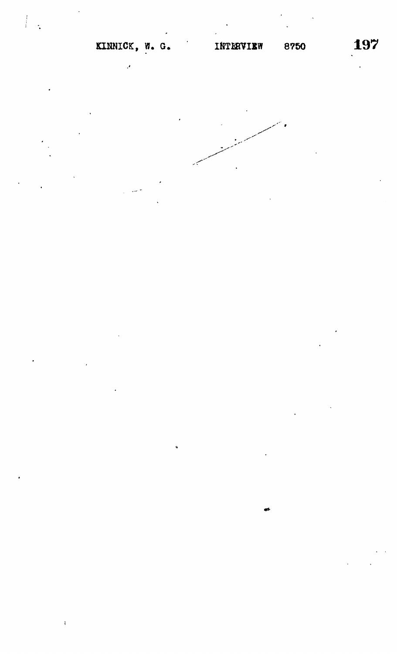$\cdot$ 

 $\frac{1}{2}$ 

197

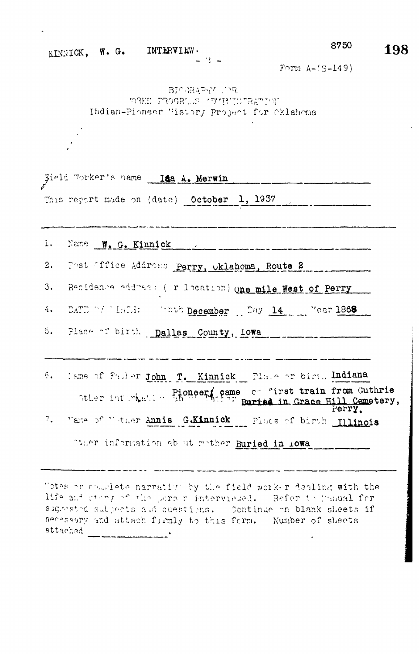KINNICK, W. G. INTERVIEW.  $-9 -$  8750

BIC-RAP-IV JOR TORES PROGRUMS AUTHITION RATION Indian-Pioneer Wistory Project for Oklahoma

Bield Worker's name Ida A. Merwin This report made on (date) October 1, 1937

 $1.$ Post fffice Address Perry, oklahoma, Route 2  $2.$ Residence eddness ( r location) une mile West of Perry  $3.$ DATE OF LADE: Thur December 124 14 Vear 1868  $4.1$ Place of birth pallas County, Iowa  $5.$ 6. Mame of Fasher John T. Kinnick Plase of birt. Indiana Other information Pioneer came on first train from Guthrie Perry. 7. Mane of litner Annis G.Kinnick Place of birth Illinois Other information about mother Buried in lowal

Totes or complete narrative by the field worker dealing with the life and stary of the pars r interviesed. Refer to Pasual for sigmsted subjects and questions. Continue on blank sheets if necessary and attach firmly to this form. Number of sheets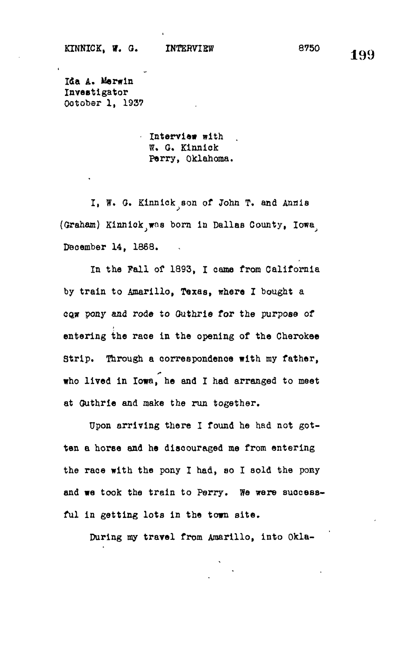Ida A. Merwln Investigator October I, 193?

> Interview with W. G. Kinnick Perry, Oklahoma.

I, W. G. Kinnick son of John T. and Annis (Graham) Xinniok^wos born in Dallas County, Iowa^ December 14, 1868.

In the Fall of 1893, I came from California by train to Amarillo, Texas, where I bought a cow pony and rode to Outhrie for the purpose of entering the race in the opening of the Cherokee Strip. Through a correspondence with my father, who lived in Iowa, he and I had arranged to meet at Guthrie and make the run together.

Upon arriving there I found he had not gotten a horse and he diaoouraged me from entering the race with the pony I had, so I sold the pony and we took the train to Perry. We were successful in getting lots in the town site.

During my travel from Amarillo, into Okla-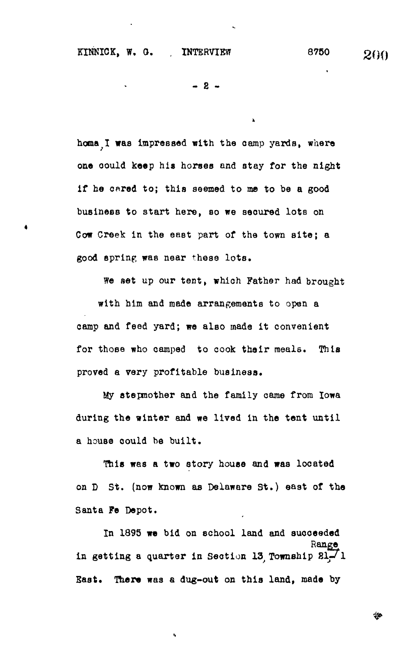**\***

200

**- 2 -**

**hocoa I was Impressed with the camp yards, where one oould keep his horses and stay for the night if he oared to; this seemed to me to be a good business to start here, so we aeoured lots on Cow Creek in the east part of the town site; a good spring was near these lots.**

**We set up our tent, which Father had brought with him and made arrangements to open a camp and feed yard; we also made it convenient for those who camped to cook their meals. This proved a very profitable business.**

**My stepmother and the family came from Iowa during the winter and we lived in the tent until a house oould be built.**

**This was a two story house and was located on D St. (now known as Delaware St.) east of the Santa Pe Depot.**

**In 1895 we bid on school land and succeeded Range in getting a quarter in Section 13, Township 81^/1 East. There was a dug-out on this land, made by**

₩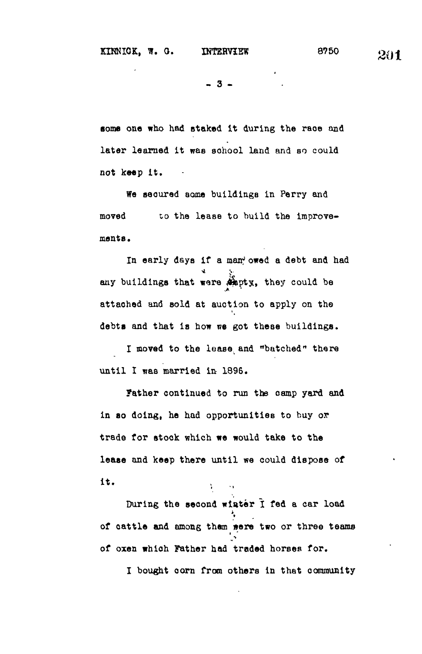**. 3 -**

**some one who had staked It during the race and later learned It was sohool land and BO could not keep It.**

**We seoured some buildings in Perry and** moved to the lease to build the improve**ments.**

**In early days if a man? owed a debt and had** any buildings that were  $\stackrel{\sim}{AB}$  pty, they could be **attached and sold at auotion to apply on the debts and that is how we got these buildings.**

I moved to the lease and "batched" there **until I was married in- 1896.**

**Father continued to run the oamp yard and in so doing, he had opportunities to buy or trade for stock which we would take to the lease and keep there until we could dispose of it.** À.

• - i

**During the second wiater I fed a car load** ÷, » **of cattle and among them were two or three teams** i **of oxen which Father had traded horses for.**

**I bought corn from others in that community**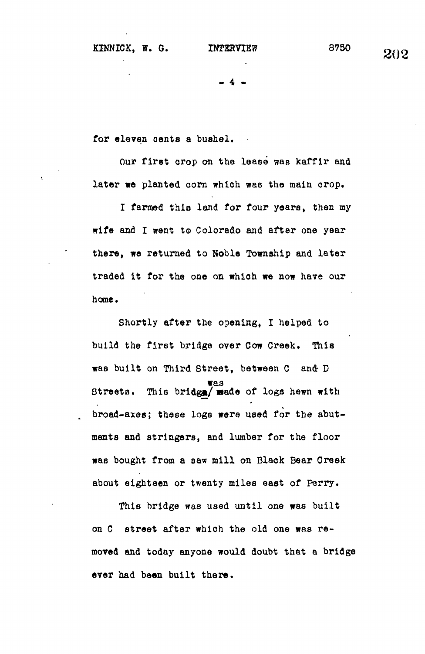**- 4 -**

**for eleven oente a bushel.**

**Our fir8t orop on the lease was kaffir and later we planted corn which was the main crop.**

I farmed this land for four years, then my **wife and I went to Colorado and after one year there, we returned to Noble Township and later traded it for the one on whioh we now have our home •**

**Shortly after the opening, I helped to build the first bridge over Cow Creek. This was built on Third Street, between C and- D was Streets. This bridga/ »ade of logs hewn with broad-axes; these logs were used for the abutments and stringers, and lumber for the floor was bought from a saw mill on Black Bear Creek about eighteen or twenty miles east of Perry.**

**This bridge was used until one was built on C street after which the old one was removed and today anyone would doubt that a bridge ever had been built there.**